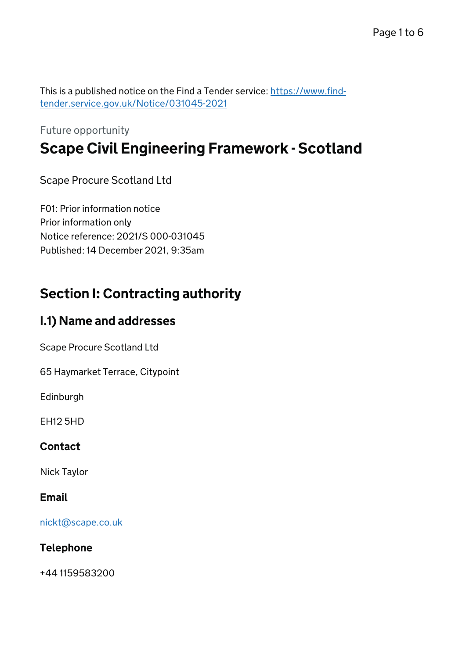This is a published notice on the Find a Tender service: [https://www.find](https://www.find-tender.service.gov.uk/Notice/031045-2021)[tender.service.gov.uk/Notice/031045-2021](https://www.find-tender.service.gov.uk/Notice/031045-2021)

# Future opportunity Scape Civil Engineering Framework - Scotland

Scape Procure Scotland Ltd

F01: Prior information notice Prior information only Notice reference: 2021/S 000-031045 Published: 14 December 2021, 9:35am

# Section I: Contracting authority

### I.1) Name and addresses

Scape Procure Scotland Ltd

65 Haymarket Terrace, Citypoint

Edinburgh

EH12 5HD

#### Contact

Nick Taylor

#### Email

[nickt@scape.co.uk](mailto:nickt@scape.co.uk)

#### Telephone

+44 1159583200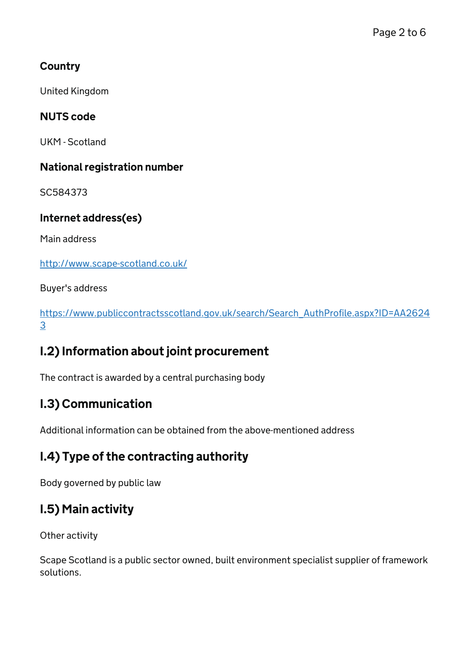### **Country**

United Kingdom

### NUTS code

UKM - Scotland

#### National registration number

SC584373

### Internet address(es)

Main address

<http://www.scape-scotland.co.uk/>

Buyer's address

[https://www.publiccontractsscotland.gov.uk/search/Search\\_AuthProfile.aspx?ID=AA2624](https://www.publiccontractsscotland.gov.uk/search/Search_AuthProfile.aspx?ID=AA26243) [3](https://www.publiccontractsscotland.gov.uk/search/Search_AuthProfile.aspx?ID=AA26243)

## I.2) Information about joint procurement

The contract is awarded by a central purchasing body

# I.3) Communication

Additional information can be obtained from the above-mentioned address

## I.4) Type of the contracting authority

Body governed by public law

# I.5) Main activity

Other activity

Scape Scotland is a public sector owned, built environment specialist supplier of framework solutions.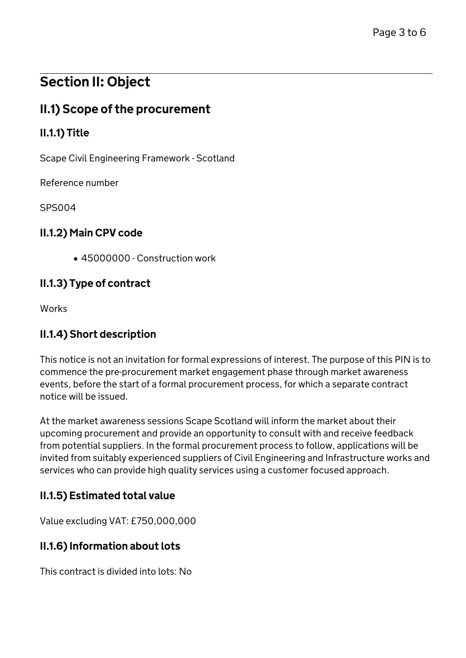# Section II: Object

# II.1) Scope of the procurement

### II.1.1) Title

Scape Civil Engineering Framework - Scotland

Reference number

SPS004

#### II.1.2) Main CPV code

45000000 - Construction work

#### II.1.3) Type of contract

**Works** 

### II.1.4) Short description

This notice is not an invitation for formal expressions of interest. The purpose of this PIN is to commence the pre-procurement market engagement phase through market awareness events, before the start of a formal procurement process, for which a separate contract notice will be issued.

At the market awareness sessions Scape Scotland will inform the market about their upcoming procurement and provide an opportunity to consult with and receive feedback from potential suppliers. In the formal procurement process to follow, applications will be invited from suitably experienced suppliers of Civil Engineering and Infrastructure works and services who can provide high quality services using a customer focused approach.

### II.1.5) Estimated total value

Value excluding VAT: £750,000,000

#### II.1.6) Information about lots

This contract is divided into lots: No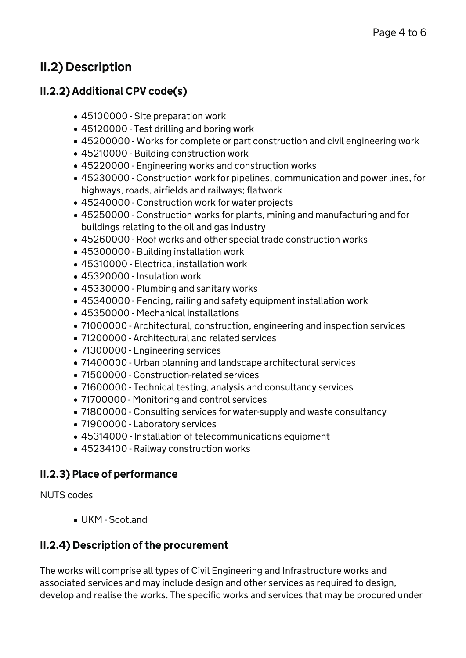# II.2) Description

### II.2.2) Additional CPV code(s)

- 45100000 Site preparation work
- 45120000 Test drilling and boring work
- 45200000 Works for complete or part construction and civil engineering work
- 45210000 Building construction work
- 45220000 Engineering works and construction works
- 45230000 Construction work for pipelines, communication and power lines, for highways, roads, airfields and railways; flatwork
- 45240000 Construction work for water projects
- 45250000 Construction works for plants, mining and manufacturing and for buildings relating to the oil and gas industry
- 45260000 Roof works and other special trade construction works
- 45300000 Building installation work
- 45310000 Electrical installation work
- 45320000 Insulation work
- 45330000 Plumbing and sanitary works
- 45340000 Fencing, railing and safety equipment installation work
- 45350000 Mechanical installations
- 71000000 Architectural, construction, engineering and inspection services
- 71200000 Architectural and related services
- 71300000 Engineering services
- 71400000 Urban planning and landscape architectural services
- 71500000 Construction-related services
- 71600000 Technical testing, analysis and consultancy services
- 71700000 Monitoring and control services
- 71800000 Consulting services for water-supply and waste consultancy
- 71900000 Laboratory services
- 45314000 Installation of telecommunications equipment
- 45234100 Railway construction works

#### II.2.3) Place of performance

NUTS codes

UKM - Scotland

#### II.2.4) Description of the procurement

The works will comprise all types of Civil Engineering and Infrastructure works and associated services and may include design and other services as required to design, develop and realise the works. The specific works and services that may be procured under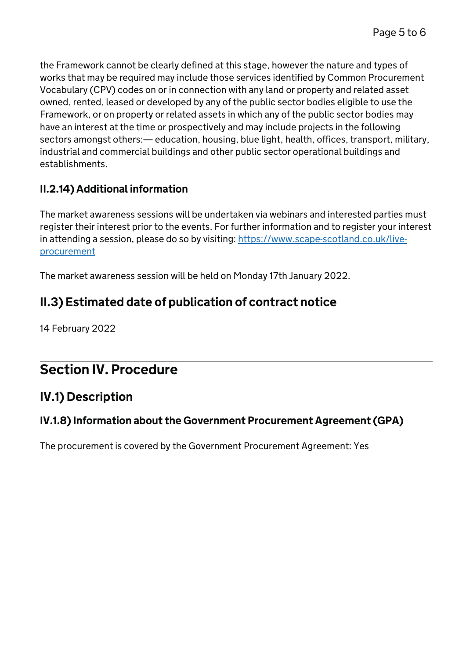the Framework cannot be clearly defined at this stage, however the nature and types of works that may be required may include those services identified by Common Procurement Vocabulary (CPV) codes on or in connection with any land or property and related asset owned, rented, leased or developed by any of the public sector bodies eligible to use the Framework, or on property or related assets in which any of the public sector bodies may have an interest at the time or prospectively and may include projects in the following sectors amongst others:— education, housing, blue light, health, offices, transport, military, industrial and commercial buildings and other public sector operational buildings and establishments.

### II.2.14) Additional information

The market awareness sessions will be undertaken via webinars and interested parties must register their interest prior to the events. For further information and to register your interest in attending a session, please do so by visiting: [https://www.scape-scotland.co.uk/live](https://www.scape-scotland.co.uk/live-procurement)[procurement](https://www.scape-scotland.co.uk/live-procurement)

The market awareness session will be held on Monday 17th January 2022.

# II.3) Estimated date of publication of contract notice

14 February 2022

# Section IV. Procedure

## IV.1) Description

### IV.1.8) Information about the Government Procurement Agreement (GPA)

The procurement is covered by the Government Procurement Agreement: Yes